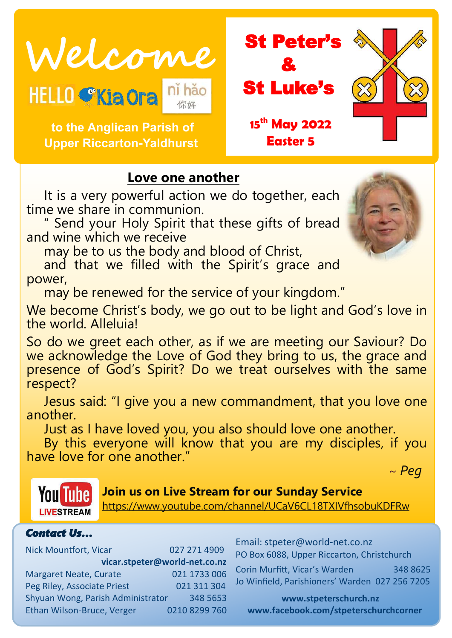Welcome<br>HELLO CKiaora nihão **St Luke's** 

 **to the Anglican Parish of Upper Riccarton-Yaldhurst**



# **Love one another**

It is a very powerful action we do together, each time we share in communion.

" Send your Holy Spirit that these gifts of bread and wine which we receive

may be to us the body and blood of Christ,

and that we filled with the Spirit's grace and power,

may be renewed for the service of your kingdom."

We become Christ's body, we go out to be light and God's love in the world. Alleluia!

So do we greet each other, as if we are meeting our Saviour? Do we acknowledge the Love of God they bring to us, the grace and presence of God's Spirit? Do we treat ourselves with the same respect?

Jesus said: "I give you a new commandment, that you love one another.

Just as I have loved you, you also should love one another.

By this everyone will know that you are my disciples, if you have love for one another."

~ *Peg*



**Join us on Live Stream for our Sunday Service**

<https://www.youtube.com/channel/UCaV6CL18TXIVfhsobuKDFRw>

#### *Contact Us…*

Nick Mountfort, Vicar 027 271 4909 **vicar.stpeter@world-net.co.nz** Margaret Neate, Curate 021 1733 006 Peg Riley, Associate Priest 021 311 304 Shyuan Wong, Parish Administrator 348 5653 Ethan Wilson-Bruce, Verger 0210 8299 760 Email: stpeter@world-net.co.nz PO Box 6088, Upper Riccarton, Christchurch

Corin Murfitt, Vicar's Warden 348 8625 Jo Winfield, Parishioners' Warden 027 256 7205

**www.stpeterschurch.nz www.facebook.com/stpeterschurchcorner**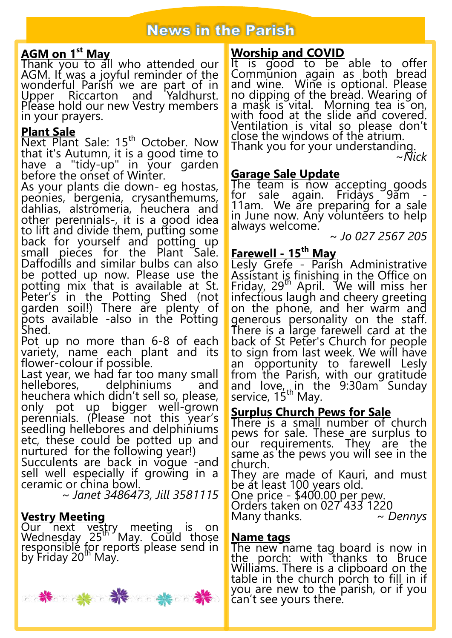# **AGM on 1st May**

Thank you to all who attended our AGM. It was a joyful reminder of the wonderful Parish we are part of in Upper Riccarton and Yaldhurst. Please hold our new Vestry members in your prayers.

#### **Plant Sale**

Next Plant Sale: 15<sup>th</sup> October. Now that it's Autumn, it is a good time to have a "tidy-up" in your garden before the onset of Winter.

As your plants die down- eg hostas, peonies, bergenia, crysanthemums, dahlias, alstromeria, heuchera and other perennials-, it is a good idea to lift and divide them, putting some back for yourself and potting up small pieces for the Plant Sale. Daffodills and similar bulbs can also be potted up now. Please use the potting mix that is available at St. Peter's in the Potting Shed (not garden soil!) There are plenty of pots available -also in the Potting Shed.

Pot up no more than 6-8 of each variety, name each plant and its flower-colour if possible.

Last year, we had far too many small helphiniums and heuchera which didn't sell so, please, only pot up bigger well-grown perennials. (Please not this year's seedling hellebores and delphiniums etc, these could be potted up and nurtured for the following year!)

Succulents are back in vogue -and sell well especially if growing in a ceramic or china bowl.

~ *Janet 3486473, Jill 3581115*

## **Vestry Meeting**

Our next vestry meeting is on Wednesday 25<sup>th</sup> May. Could those responsible for reports please send in by Friday 20<sup>th</sup> May.



# **Worship and COVID**

It is good to be able to offer Communion again as both bread and wine. Wine is optional. Please no dipping of the bread. Wearing of a mask is vital. Morning tea is on, with food at the slide and covered. Ventilation is vital so please don't close the windows of the atrium. Thank you for your understanding.

~*Nick*

## **Garage Sale Update**

The team is now accepting goods for sale again. Fridays 9am -11am. We are preparing for a sale in June now. Any volunteers to help always welcome.

~ *Jo 027 2567 205*

# **Farewell - 15th May**

Lesly Grefe - Parish Administrative Assistant is finishing in the Office on Friday, 29th April. We will miss her infectious laugh and cheery greeting on the phone, and her warm and generous personality on the staff. There is a large farewell card at the back of St Peter's Church for people to sign from last week. We will have an opportunity to farewell Lesly from the Parish, with our gratitude and love<sub>, th</sub>in the 9:30am Sunday service, 15<sup>th</sup> May.

#### **Surplus Church Pews for Sale**

There is a small number of church pews for sale. These are surplus to our requirements. They are the same as the pews you will see in the church.

They are made of Kauri, and must be at least 100 years old.

One price - \$400.00 per pew.

Orders taken on 027 433 1220 Many thanks. *~ Dennys*

#### **Name tags**

The new name tag board is now in the porc<u>h</u>: with thanks to Bruce Williams. There is a clipboard on the table in the church porch to fill in if you are new to the parish, or if you can't see yours there.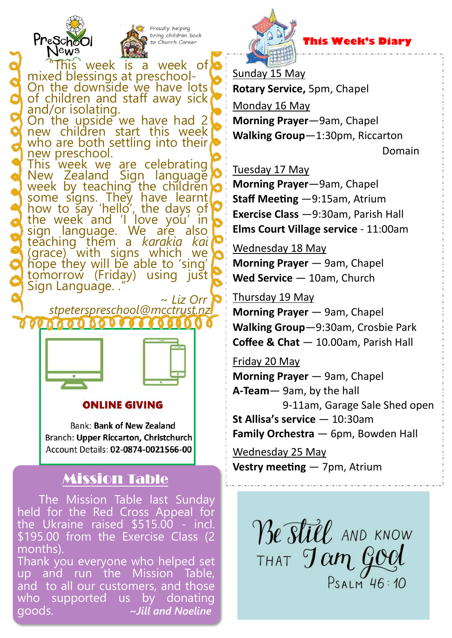



This week is a week of mixed blessings at preschool-On the downside we have lots of children and staff away sick and/or isolating. On the upside we have had 2 new children start this week who are both settling into their new preschool. This week we are celebrating New Zealand Sign language week by teaching the children some signs. They have learnt how to say 'hello', the days of the week and 'I love you' in sign language. We are also teaching them a *karakia kai*  (grace) with signs which we hope they will be able to 'sing' tomorrow (Friday) using just Sign Language...

 ~ *Liz Orr stpeterspreschool@mcctrust.nz* 



#### ONLINE GIVING

**Bank: Bank of New Zealand** Branch: Upper Riccarton, Christchurch Account Details: 02-0874-0021566-00

# Mission Table

The Mission Table last Sunday held for the Red Cross Appeal for the Ukraine raised \$515.00 - incl. \$195.00 from the Exercise Class (2 months).

Thank you everyone who helped set up and run the Mission Table, and to all our customers, and those who supported us by donating goods. **~***Jill and Noeline*



 **This Week's Diary**

Sunday 15 May **Rotary Service,** 5pm, Chapel

Monday 16 May

**Morning Prayer**—9am, Chapel **Walking Group**—1:30pm, Riccarton

Domain

Tuesday 17 May

**Morning Prayer**—9am, Chapel **Staff Meeting** —9:15am, Atrium **Exercise Class** —9:30am, Parish Hall **Elms Court Village service** - 11:00am

#### Wednesday 18 May

**Morning Prayer** — 9am, Chapel **Wed Service** — 10am, Church

Thursday 19 May

**Morning Prayer** — 9am, Chapel **Walking Group**—9:30am, Crosbie Park **Coffee & Chat** — 10.00am, Parish Hall

Friday 20 May

**Morning Prayer** — 9am, Chapel **A-Team**— 9am, by the hall 9-11am, Garage Sale Shed open **St Allisa's service** — 10:30am **Family Orchestra** — 6pm, Bowden Hall

Wednesday 25 May **Vestry meeting** — 7pm, Atrium

> Be still AND KNOW THAT Tam God PSALM 46:10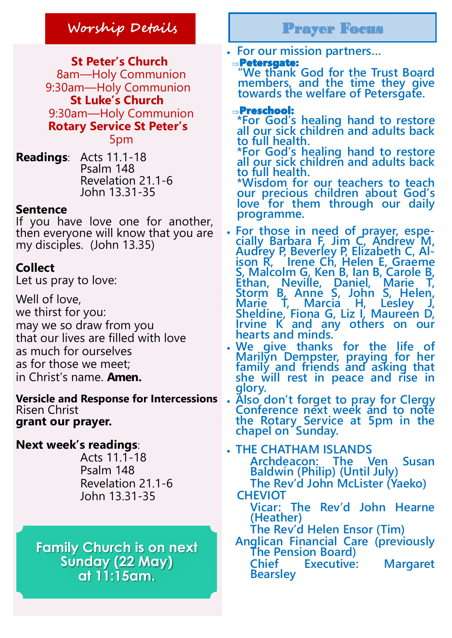# **Worship Details** Prayer Focus

 **St Peter's Church** 8am—Holy Communion 9:30am—Holy Communion **St Luke's Church** 9:30am—Holy Communion **Rotary Service St Peter's** 5pm

**Readings**: Acts 11.1-18 Psalm 148 Revelation 21.1-6 John 13.31-35

## **Sentence**

If you have love one for another, then everyone will know that you are my disciples. (John 13.35)

# **Collect**

Let us pray to love:

Well of love, we thirst for you: may we so draw from you that our lives are filled with love as much for ourselves as for those we meet; in Christ's name. **Amen.**

Risen Christ **grant our prayer.**

**Next week's readings**:

 Acts 11.1-18 Psalm 148 Revelation 21.1-6 John 13.31-35

**Family Church is on next Sunday (22 May) at 11:15am.**

**For our mission partners…**

#### Petersgate:

**"We thank God for the Trust Board members, and the time they give towards the welfare of Petersgate.** 

#### Preschool:

**\*For God's healing hand to restore all our sick children and adults back to full health.** 

**\*For God's healing hand to restore all our sick children and adults back to full health.** 

**\*Wisdom for our teachers to teach our precious children about God's love for them through our daily programme.** 

- **For those in need of prayer, especially Barbara F, Jim C, Andrew M, Audrey P, Beverley P, Elizabeth C, Alison R, Irene Ch, Helen E, Graeme S, Malcolm G, Ken B, Ian B, Carole B, Ethan, Neville, Daniel, Marie T, Storm B, Anne S, John S, Helen, Marie T, Marcia H, Lesley J, Sheldine, Fiona G, Liz I, Maureen D, Irvine K and any others on our hearts and minds.**
- **We give thanks for the life of Marilyn Dempster, praying for her family and friends and asking that she will rest in peace and rise in glory.**
- **Versicle and Response for Intercessions Also don't forget to pray for Clergy Conference next week and to note the Rotary Service at 5pm in the chapel on Sunday.**

 **THE CHATHAM ISLANDS Archdeacon: The Ven Susan Baldwin (Philip) (Until July) The Rev'd John McLister (Yaeko) CHEVIOT Vicar: The Rev'd John Hearne (Heather) The Rev'd Helen Ensor (Tim) Anglican Financial Care (previously The Pension Board) Chief Executive: Margaret Bearsley**